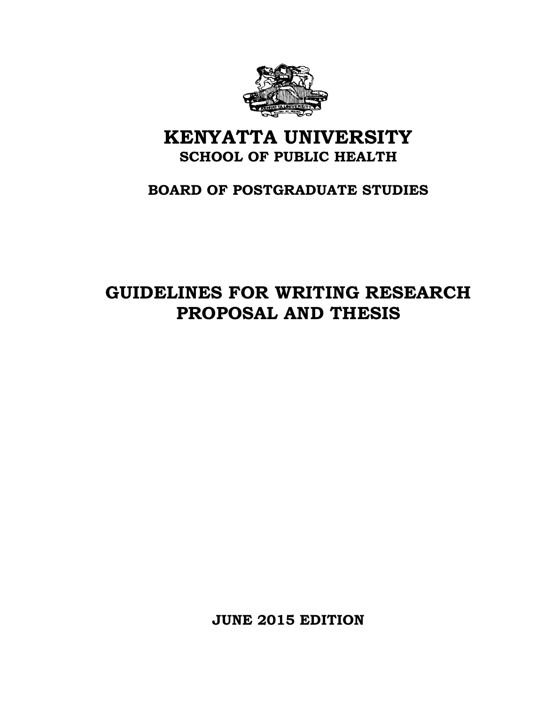

# **KENYATTA UNIVERSITY SCHOOL OF PUBLIC HEALTH**

# **BOARD OF POSTGRADUATE STUDIES**

# **GUIDELINES FOR WRITING RESEARCH PROPOSAL AND THESIS**

**JUNE 2015 EDITION**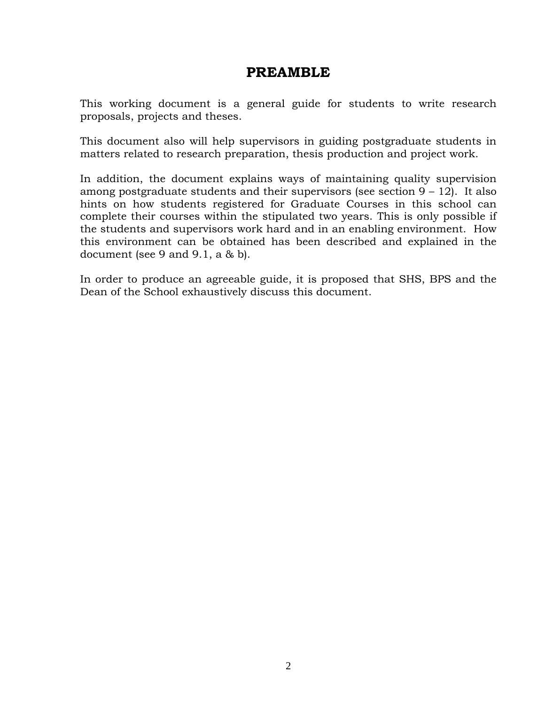# **PREAMBLE**

This working document is a general guide for students to write research proposals, projects and theses.

This document also will help supervisors in guiding postgraduate students in matters related to research preparation, thesis production and project work.

In addition, the document explains ways of maintaining quality supervision among postgraduate students and their supervisors (see section 9 – 12). It also hints on how students registered for Graduate Courses in this school can complete their courses within the stipulated two years. This is only possible if the students and supervisors work hard and in an enabling environment. How this environment can be obtained has been described and explained in the document (see 9 and 9.1, a  $\&$  b).

In order to produce an agreeable guide, it is proposed that SHS, BPS and the Dean of the School exhaustively discuss this document.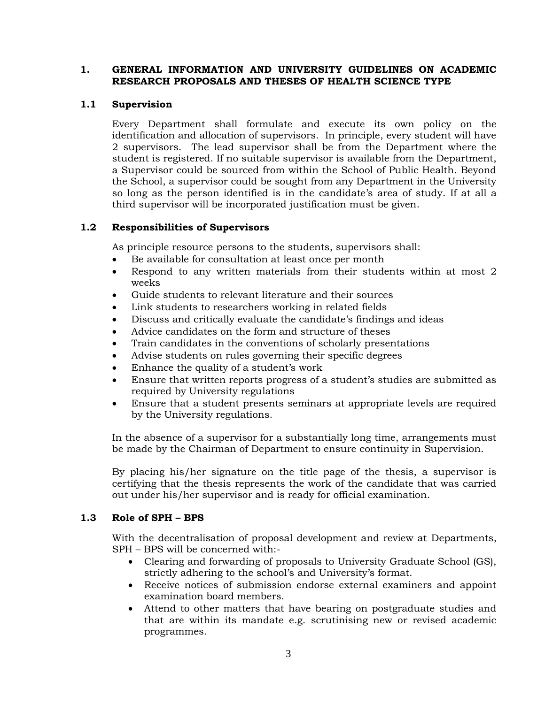# **1. GENERAL INFORMATION AND UNIVERSITY GUIDELINES ON ACADEMIC RESEARCH PROPOSALS AND THESES OF HEALTH SCIENCE TYPE**

#### **1.1 Supervision**

Every Department shall formulate and execute its own policy on the identification and allocation of supervisors. In principle, every student will have 2 supervisors. The lead supervisor shall be from the Department where the student is registered. If no suitable supervisor is available from the Department, a Supervisor could be sourced from within the School of Public Health. Beyond the School, a supervisor could be sought from any Department in the University so long as the person identified is in the candidate's area of study. If at all a third supervisor will be incorporated justification must be given.

# **1.2 Responsibilities of Supervisors**

As principle resource persons to the students, supervisors shall:

- Be available for consultation at least once per month
- Respond to any written materials from their students within at most 2 weeks
- Guide students to relevant literature and their sources
- Link students to researchers working in related fields
- Discuss and critically evaluate the candidate's findings and ideas
- Advice candidates on the form and structure of theses
- Train candidates in the conventions of scholarly presentations
- Advise students on rules governing their specific degrees
- Enhance the quality of a student's work
- Ensure that written reports progress of a student's studies are submitted as required by University regulations
- Ensure that a student presents seminars at appropriate levels are required by the University regulations.

In the absence of a supervisor for a substantially long time, arrangements must be made by the Chairman of Department to ensure continuity in Supervision.

By placing his/her signature on the title page of the thesis, a supervisor is certifying that the thesis represents the work of the candidate that was carried out under his/her supervisor and is ready for official examination.

# **1.3 Role of SPH – BPS**

With the decentralisation of proposal development and review at Departments, SPH – BPS will be concerned with:-

- Clearing and forwarding of proposals to University Graduate School (GS), strictly adhering to the school's and University's format.
- Receive notices of submission endorse external examiners and appoint examination board members.
- Attend to other matters that have bearing on postgraduate studies and that are within its mandate e.g. scrutinising new or revised academic programmes.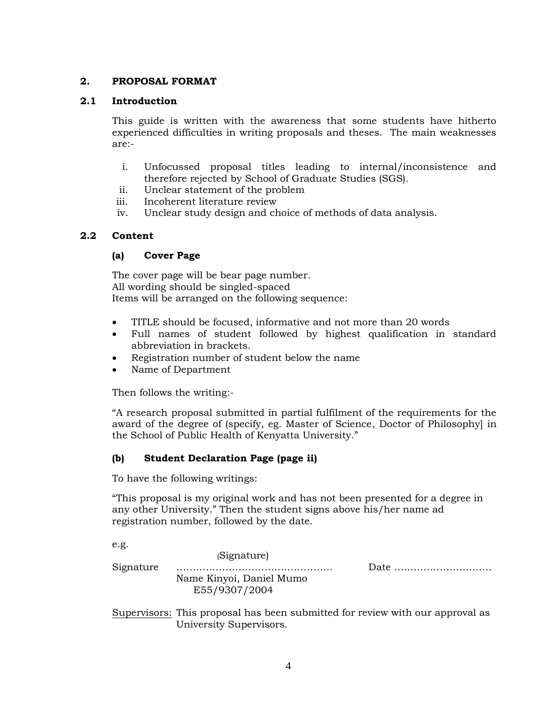# **2. PROPOSAL FORMAT**

# **2.1 Introduction**

This guide is written with the awareness that some students have hitherto experienced difficulties in writing proposals and theses. The main weaknesses are:-

- i. Unfocussed proposal titles leading to internal/inconsistence and therefore rejected by School of Graduate Studies (SGS).
- ii. Unclear statement of the problem
- iii. Incoherent literature review
- iv. Unclear study design and choice of methods of data analysis.

# **2.2 Content**

# **(a) Cover Page**

The cover page will be bear page number. All wording should be singled-spaced Items will be arranged on the following sequence:

- TITLE should be focused, informative and not more than 20 words
- Full names of student followed by highest qualification in standard abbreviation in brackets.
- Registration number of student below the name
- Name of Department

Then follows the writing:-

"A research proposal submitted in partial fulfilment of the requirements for the award of the degree of (specify, eg. Master of Science, Doctor of Philosophy] in the School of Public Health of Kenyatta University."

# **(b) Student Declaration Page (page ii)**

To have the following writings:

"This proposal is my original work and has not been presented for a degree in any other University." Then the student signs above his/her name ad registration number, followed by the date.

e.g. (Signature) Signature ………………………………………… Date ………………………… Name Kinyoi, Daniel Mumo E55/9307/2004

Supervisors: This proposal has been submitted for review with our approval as University Supervisors.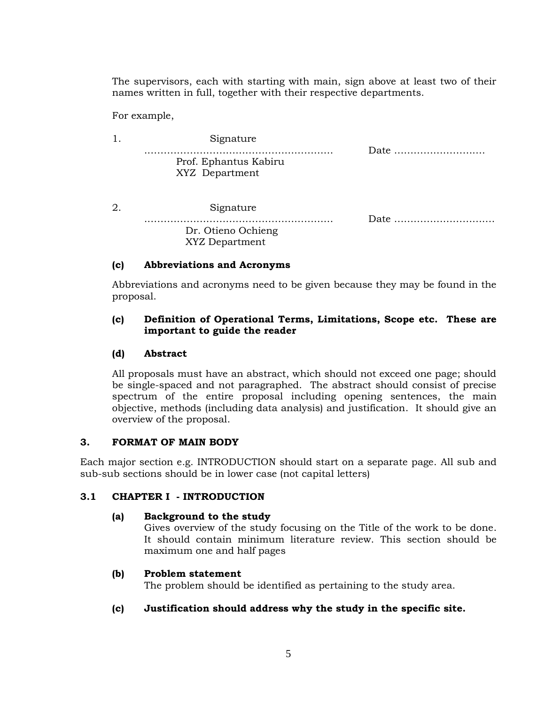The supervisors, each with starting with main, sign above at least two of their names written in full, together with their respective departments.

For example,

|    | Signature                               |      |
|----|-----------------------------------------|------|
|    | Prof. Ephantus Kabiru<br>XYZ Department | Date |
| 2. | Signature                               | Date |
|    | Dr. Otieno Ochieng<br>XYZ Department    |      |

# **(c) Abbreviations and Acronyms**

Abbreviations and acronyms need to be given because they may be found in the proposal.

# **(c) Definition of Operational Terms, Limitations, Scope etc. These are important to guide the reader**

# **(d) Abstract**

All proposals must have an abstract, which should not exceed one page; should be single-spaced and not paragraphed. The abstract should consist of precise spectrum of the entire proposal including opening sentences, the main objective, methods (including data analysis) and justification. It should give an overview of the proposal.

# **3. FORMAT OF MAIN BODY**

Each major section e.g. INTRODUCTION should start on a separate page. All sub and sub-sub sections should be in lower case (not capital letters)

# **3.1 CHAPTER I - INTRODUCTION**

# **(a) Background to the study**

Gives overview of the study focusing on the Title of the work to be done. It should contain minimum literature review. This section should be maximum one and half pages

# **(b) Problem statement**

The problem should be identified as pertaining to the study area.

# **(c) Justification should address why the study in the specific site.**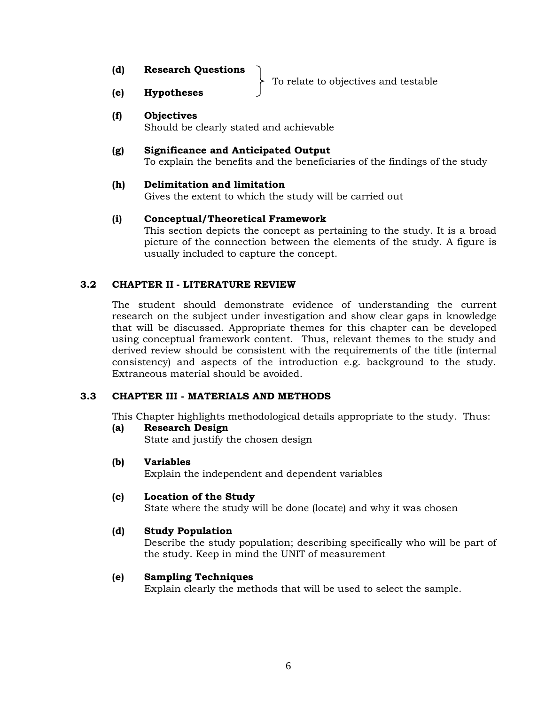| (d)<br><b>Research Questions</b> |  |
|----------------------------------|--|
|----------------------------------|--|

To relate to objectives and testable

**(e) Hypotheses**

# **(f) Objectives**

Should be clearly stated and achievable

# **(g) Significance and Anticipated Output**

To explain the benefits and the beneficiaries of the findings of the study

# **(h) Delimitation and limitation**

Gives the extent to which the study will be carried out

# **(i) Conceptual/Theoretical Framework**

This section depicts the concept as pertaining to the study. It is a broad picture of the connection between the elements of the study. A figure is usually included to capture the concept.

# **3.2 CHAPTER II - LITERATURE REVIEW**

The student should demonstrate evidence of understanding the current research on the subject under investigation and show clear gaps in knowledge that will be discussed. Appropriate themes for this chapter can be developed using conceptual framework content. Thus, relevant themes to the study and derived review should be consistent with the requirements of the title (internal consistency) and aspects of the introduction e.g. background to the study. Extraneous material should be avoided.

# **3.3 CHAPTER III - MATERIALS AND METHODS**

This Chapter highlights methodological details appropriate to the study. Thus:

# **(a) Research Design**

State and justify the chosen design

# **(b) Variables**

Explain the independent and dependent variables

# **(c) Location of the Study**

State where the study will be done (locate) and why it was chosen

# **(d) Study Population**

Describe the study population; describing specifically who will be part of the study. Keep in mind the UNIT of measurement

# **(e) Sampling Techniques**

Explain clearly the methods that will be used to select the sample.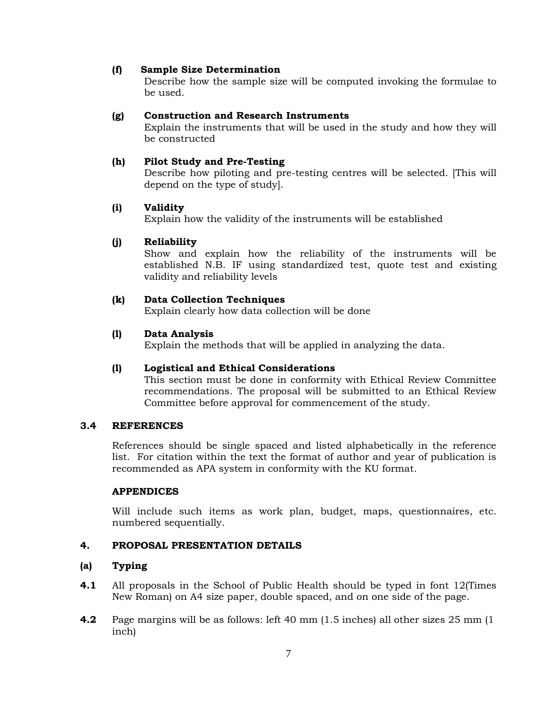# **(f) Sample Size Determination**

Describe how the sample size will be computed invoking the formulae to be used.

#### **(g) Construction and Research Instruments**

Explain the instruments that will be used in the study and how they will be constructed

#### **(h) Pilot Study and Pre-Testing**

Describe how piloting and pre-testing centres will be selected. [This will depend on the type of study].

# **(i) Validity**

Explain how the validity of the instruments will be established

# **(j) Reliability**

Show and explain how the reliability of the instruments will be established N.B. IF using standardized test, quote test and existing validity and reliability levels

# **(k) Data Collection Techniques**

Explain clearly how data collection will be done

# **(l) Data Analysis**

Explain the methods that will be applied in analyzing the data.

#### **(l) Logistical and Ethical Considerations**

This section must be done in conformity with Ethical Review Committee recommendations. The proposal will be submitted to an Ethical Review Committee before approval for commencement of the study.

#### **3.4 REFERENCES**

References should be single spaced and listed alphabetically in the reference list. For citation within the text the format of author and year of publication is recommended as APA system in conformity with the KU format.

#### **APPENDICES**

Will include such items as work plan, budget, maps, questionnaires, etc. numbered sequentially.

# **4. PROPOSAL PRESENTATION DETAILS**

#### **(a) Typing**

- **4.1** All proposals in the School of Public Health should be typed in font 12(Times New Roman) on A4 size paper, double spaced, and on one side of the page.
- **4.2** Page margins will be as follows: left 40 mm (1.5 inches) all other sizes 25 mm (1 inch)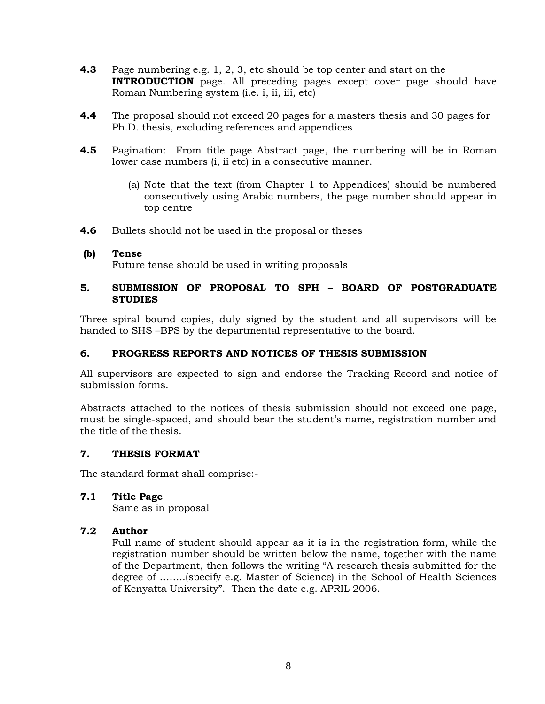- **4.3** Page numbering e.g. 1, 2, 3, etc should be top center and start on the **INTRODUCTION** page. All preceding pages except cover page should have Roman Numbering system (i.e. i, ii, iii, etc)
- **4.4** The proposal should not exceed 20 pages for a masters thesis and 30 pages for Ph.D. thesis, excluding references and appendices
- **4.5** Pagination: From title page Abstract page, the numbering will be in Roman lower case numbers (i, ii etc) in a consecutive manner.
	- (a) Note that the text (from Chapter 1 to Appendices) should be numbered consecutively using Arabic numbers, the page number should appear in top centre
- **4.6** Bullets should not be used in the proposal or theses

#### **(b) Tense**

Future tense should be used in writing proposals

# **5. SUBMISSION OF PROPOSAL TO SPH – BOARD OF POSTGRADUATE STUDIES**

Three spiral bound copies, duly signed by the student and all supervisors will be handed to SHS –BPS by the departmental representative to the board.

# **6. PROGRESS REPORTS AND NOTICES OF THESIS SUBMISSION**

All supervisors are expected to sign and endorse the Tracking Record and notice of submission forms.

Abstracts attached to the notices of thesis submission should not exceed one page, must be single-spaced, and should bear the student's name, registration number and the title of the thesis.

#### **7. THESIS FORMAT**

The standard format shall comprise:-

**7.1 Title Page**

Same as in proposal

# **7.2 Author**

Full name of student should appear as it is in the registration form, while the registration number should be written below the name, together with the name of the Department, then follows the writing "A research thesis submitted for the degree of ……..(specify e.g. Master of Science) in the School of Health Sciences of Kenyatta University". Then the date e.g. APRIL 2006.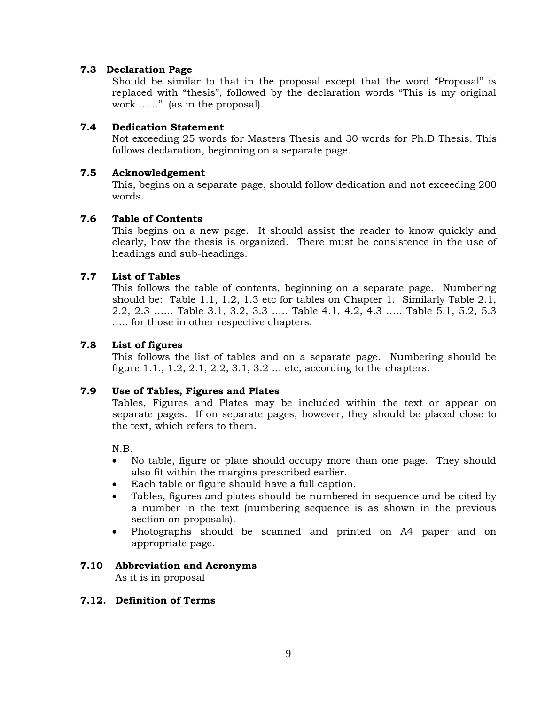# **7.3 Declaration Page**

Should be similar to that in the proposal except that the word "Proposal" is replaced with "thesis", followed by the declaration words "This is my original work ……" (as in the proposal).

# **7.4 Dedication Statement**

Not exceeding 25 words for Masters Thesis and 30 words for Ph.D Thesis. This follows declaration, beginning on a separate page.

# **7.5 Acknowledgement**

This, begins on a separate page, should follow dedication and not exceeding 200 words.

# **7.6 Table of Contents**

This begins on a new page. It should assist the reader to know quickly and clearly, how the thesis is organized. There must be consistence in the use of headings and sub-headings.

# **7.7 List of Tables**

This follows the table of contents, beginning on a separate page. Numbering should be: Table 1.1, 1.2, 1.3 etc for tables on Chapter 1. Similarly Table 2.1, 2.2, 2.3 …… Table 3.1, 3.2, 3.3 ….. Table 4.1, 4.2, 4.3 ….. Table 5.1, 5.2, 5.3 ….. for those in other respective chapters.

# **7.8 List of figures**

This follows the list of tables and on a separate page. Numbering should be figure 1.1., 1.2, 2.1, 2.2, 3.1, 3.2 … etc, according to the chapters.

#### **7.9 Use of Tables, Figures and Plates**

Tables, Figures and Plates may be included within the text or appear on separate pages. If on separate pages, however, they should be placed close to the text, which refers to them.

N.B.

- No table, figure or plate should occupy more than one page. They should also fit within the margins prescribed earlier.
- Each table or figure should have a full caption.
- Tables, figures and plates should be numbered in sequence and be cited by a number in the text (numbering sequence is as shown in the previous section on proposals).
- Photographs should be scanned and printed on A4 paper and on appropriate page.

#### **7.10 Abbreviation and Acronyms**

As it is in proposal

#### **7.12. Definition of Terms**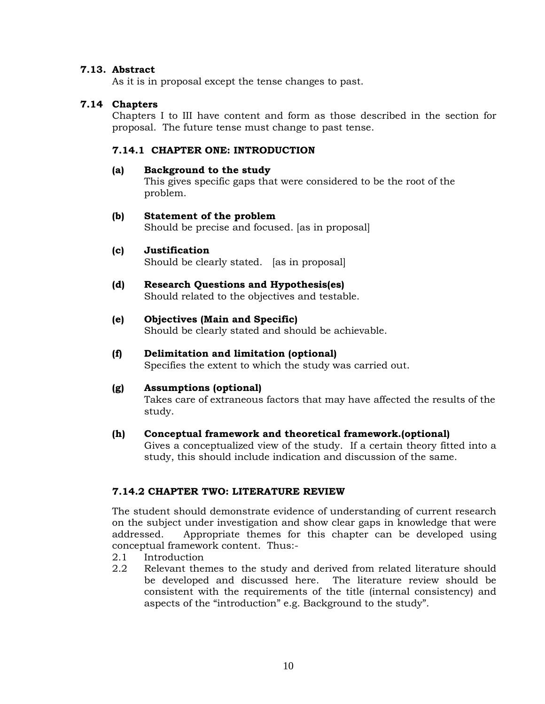# **7.13. Abstract**

As it is in proposal except the tense changes to past.

# **7.14 Chapters**

Chapters I to III have content and form as those described in the section for proposal. The future tense must change to past tense.

#### **7.14.1 CHAPTER ONE: INTRODUCTION**

#### **(a) Background to the study**

This gives specific gaps that were considered to be the root of the problem.

#### **(b) Statement of the problem**

Should be precise and focused. [as in proposal]

#### **(c) Justification**

Should be clearly stated. [as in proposal]

#### **(d) Research Questions and Hypothesis(es)** Should related to the objectives and testable.

#### **(e) Objectives (Main and Specific)**

Should be clearly stated and should be achievable.

# **(f) Delimitation and limitation (optional)**

Specifies the extent to which the study was carried out.

#### **(g) Assumptions (optional)**

Takes care of extraneous factors that may have affected the results of the study.

#### **(h) Conceptual framework and theoretical framework.(optional)**

Gives a conceptualized view of the study. If a certain theory fitted into a study, this should include indication and discussion of the same.

# **7.14.2 CHAPTER TWO: LITERATURE REVIEW**

The student should demonstrate evidence of understanding of current research on the subject under investigation and show clear gaps in knowledge that were addressed. Appropriate themes for this chapter can be developed using conceptual framework content. Thus:-

- 2.1 Introduction
- 2.2 Relevant themes to the study and derived from related literature should be developed and discussed here. The literature review should be consistent with the requirements of the title (internal consistency) and aspects of the "introduction" e.g. Background to the study".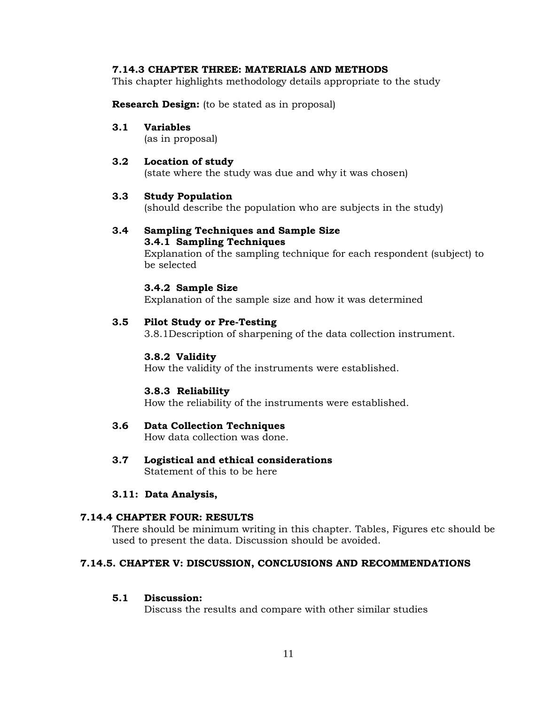# **7.14.3 CHAPTER THREE: MATERIALS AND METHODS**

This chapter highlights methodology details appropriate to the study

**Research Design:** (to be stated as in proposal)

#### **3.1 Variables**

(as in proposal)

# **3.2 Location of study**

(state where the study was due and why it was chosen)

# **3.3 Study Population**

(should describe the population who are subjects in the study)

#### **3.4 Sampling Techniques and Sample Size 3.4.1 Sampling Techniques**

Explanation of the sampling technique for each respondent (subject) to be selected

#### **3.4.2 Sample Size**

Explanation of the sample size and how it was determined

#### **3.5 Pilot Study or Pre-Testing**

3.8.1Description of sharpening of the data collection instrument.

#### **3.8.2 Validity**

How the validity of the instruments were established.

#### **3.8.3 Reliability**

How the reliability of the instruments were established.

# **3.6 Data Collection Techniques**

How data collection was done.

**3.7 Logistical and ethical considerations** Statement of this to be here

#### **3.11: Data Analysis,**

#### **7.14.4 CHAPTER FOUR: RESULTS**

There should be minimum writing in this chapter. Tables, Figures etc should be used to present the data. Discussion should be avoided.

#### **7.14.5. CHAPTER V: DISCUSSION, CONCLUSIONS AND RECOMMENDATIONS**

#### **5.1 Discussion:**

Discuss the results and compare with other similar studies